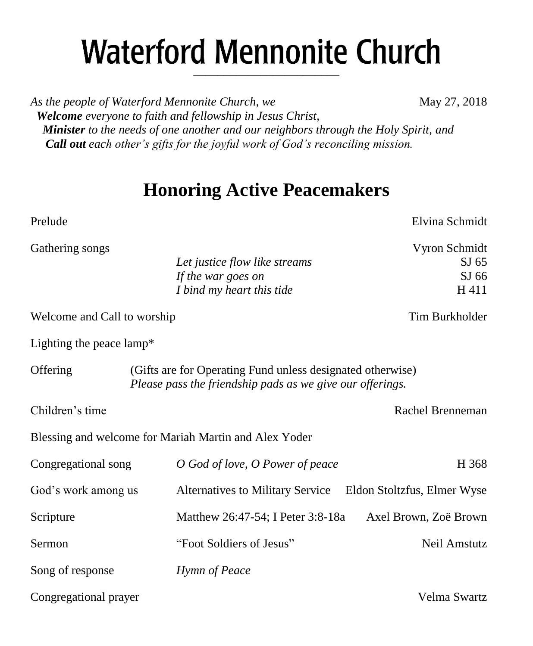# **Waterford Mennonite Church** \_\_\_\_\_\_\_\_\_\_\_\_\_\_\_\_\_\_\_\_\_\_\_\_

*As the people of Waterford Mennonite Church, we* May 27, 2018  *Welcome everyone to faith and fellowship in Jesus Christ, Minister to the needs of one another and our neighbors through the Holy Spirit, and Call out each other's gifts for the joyful work of God's reconciling mission.*

## **Honoring Active Peacemakers**

| Prelude                                                                                                                             |                                                                                  | Elvina Schmidt                                     |
|-------------------------------------------------------------------------------------------------------------------------------------|----------------------------------------------------------------------------------|----------------------------------------------------|
| Gathering songs                                                                                                                     | Let justice flow like streams<br>If the war goes on<br>I bind my heart this tide | Vyron Schmidt<br>SI <sub>65</sub><br>SJ 66<br>H411 |
| Welcome and Call to worship                                                                                                         |                                                                                  | Tim Burkholder                                     |
| Lighting the peace lamp*                                                                                                            |                                                                                  |                                                    |
| Offering<br>(Gifts are for Operating Fund unless designated otherwise)<br>Please pass the friendship pads as we give our offerings. |                                                                                  |                                                    |
| Children's time                                                                                                                     |                                                                                  | Rachel Brenneman                                   |
|                                                                                                                                     | Blessing and welcome for Mariah Martin and Alex Yoder                            |                                                    |
| Congregational song                                                                                                                 | O God of love, O Power of peace                                                  | H 368                                              |
| God's work among us                                                                                                                 | <b>Alternatives to Military Service</b>                                          | Eldon Stoltzfus, Elmer Wyse                        |
| Scripture                                                                                                                           | Matthew 26:47-54; I Peter 3:8-18a                                                | Axel Brown, Zoë Brown                              |
| Sermon                                                                                                                              | "Foot Soldiers of Jesus"                                                         | Neil Amstutz                                       |
| Song of response                                                                                                                    | Hymn of Peace                                                                    |                                                    |
| Congregational prayer                                                                                                               |                                                                                  | Velma Swartz                                       |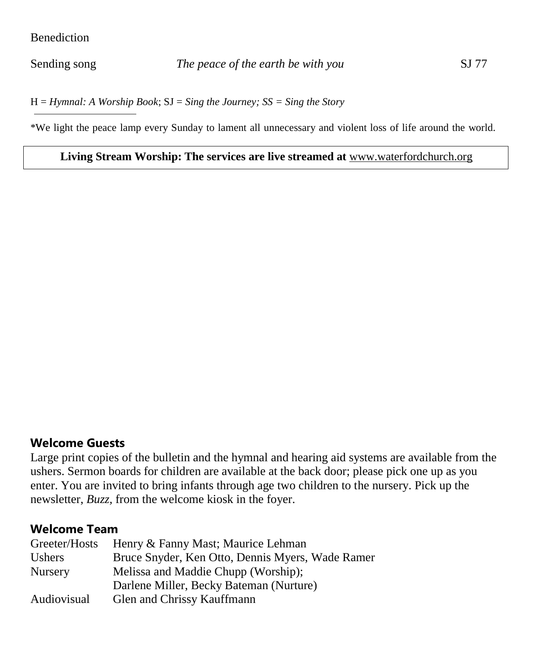#### Benediction

H = *Hymnal: A Worship Book*; SJ = *Sing the Journey; SS = Sing the Story*

\*We light the peace lamp every Sunday to lament all unnecessary and violent loss of life around the world.

#### **Living Stream Worship: The services are live streamed at** [www.waterfordchurch.org](http://www.waterfordchurch.org/)

## **Welcome Guests**

Large print copies of the bulletin and the hymnal and hearing aid systems are available from the ushers. Sermon boards for children are available at the back door; please pick one up as you enter. You are invited to bring infants through age two children to the nursery. Pick up the newsletter, *Buzz,* from the welcome kiosk in the foyer.

## **Welcome Team**

| Greeter/Hosts  | Henry & Fanny Mast; Maurice Lehman               |  |
|----------------|--------------------------------------------------|--|
| <b>Ushers</b>  | Bruce Snyder, Ken Otto, Dennis Myers, Wade Ramer |  |
| <b>Nursery</b> | Melissa and Maddie Chupp (Worship);              |  |
|                | Darlene Miller, Becky Bateman (Nurture)          |  |
| Audiovisual    | Glen and Chrissy Kauffmann                       |  |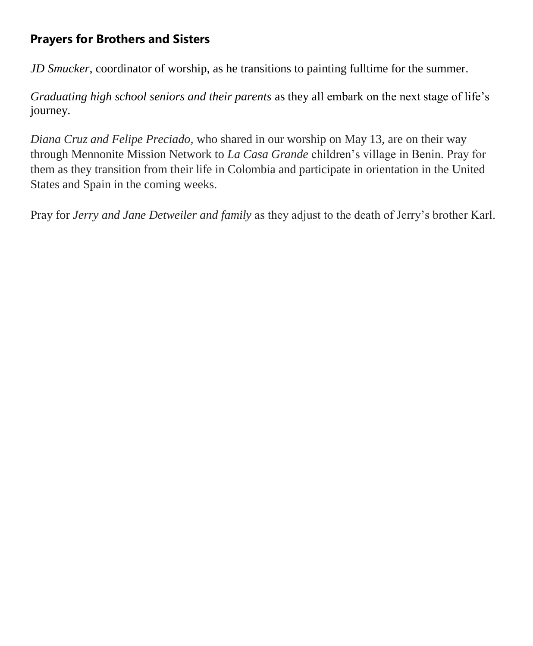## **Prayers for Brothers and Sisters**

*JD Smucker*, coordinator of worship, as he transitions to painting fulltime for the summer.

*Graduating high school seniors and their parents* as they all embark on the next stage of life's journey.

*Diana Cruz and Felipe Preciado,* who shared in our worship on May 13, are on their way through Mennonite Mission Network to *La Casa Grande* children's village in Benin. Pray for them as they transition from their life in Colombia and participate in orientation in the United States and Spain in the coming weeks.

Pray for *Jerry and Jane Detweiler and family* as they adjust to the death of Jerry's brother Karl.